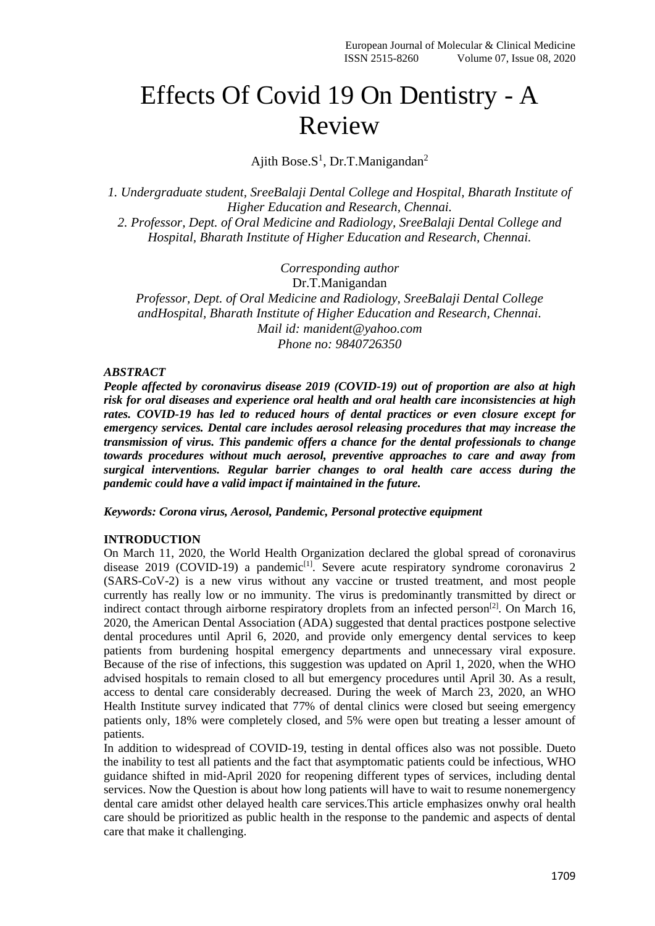# Effects Of Covid 19 On Dentistry - A Review

Ajith Bose.S<sup>1</sup>, Dr.T.Manigandan<sup>2</sup>

*1. Undergraduate student, SreeBalaji Dental College and Hospital, Bharath Institute of Higher Education and Research, Chennai. 2. Professor, Dept. of Oral Medicine and Radiology, SreeBalaji Dental College and Hospital, Bharath Institute of Higher Education and Research, Chennai.*

*Corresponding author*

Dr.T.Manigandan

*Professor, Dept. of Oral Medicine and Radiology, SreeBalaji Dental College andHospital, Bharath Institute of Higher Education and Research, Chennai. Mail id: manident@yahoo.com Phone no: 9840726350*

### *ABSTRACT*

*People affected by coronavirus disease 2019 (COVID-19) out of proportion are also at high risk for oral diseases and experience oral health and oral health care inconsistencies at high rates. COVID-19 has led to reduced hours of dental practices or even closure except for emergency services. Dental care includes aerosol releasing procedures that may increase the transmission of virus. This pandemic offers a chance for the dental professionals to change towards procedures without much aerosol, preventive approaches to care and away from surgical interventions. Regular barrier changes to oral health care access during the pandemic could have a valid impact if maintained in the future.*

*Keywords: Corona virus, Aerosol, Pandemic, Personal protective equipment*

#### **INTRODUCTION**

On March 11, 2020, the World Health Organization declared the global spread of coronavirus disease 2019 (COVID-19) a pandemic<sup>[1]</sup>. Severe acute respiratory syndrome coronavirus 2 (SARS-CoV-2) is a new virus without any vaccine or trusted treatment, and most people currently has really low or no immunity. The virus is predominantly transmitted by direct or indirect contact through airborne respiratory droplets from an infected person<sup>[2]</sup>. On March 16, 2020, the American Dental Association (ADA) suggested that dental practices postpone selective dental procedures until April 6, 2020, and provide only emergency dental services to keep patients from burdening hospital emergency departments and unnecessary viral exposure. Because of the rise of infections, this suggestion was updated on April 1, 2020, when the WHO advised hospitals to remain closed to all but emergency procedures until April 30. As a result, access to dental care considerably decreased. During the week of March 23, 2020, an WHO Health Institute survey indicated that 77% of dental clinics were closed but seeing emergency patients only, 18% were completely closed, and 5% were open but treating a lesser amount of patients.

In addition to widespread of COVID-19, testing in dental offices also was not possible. Dueto the inability to test all patients and the fact that asymptomatic patients could be infectious, WHO guidance shifted in mid-April 2020 for reopening different types of services, including dental services. Now the Question is about how long patients will have to wait to resume nonemergency dental care amidst other delayed health care services.This article emphasizes onwhy oral health care should be prioritized as public health in the response to the pandemic and aspects of dental care that make it challenging.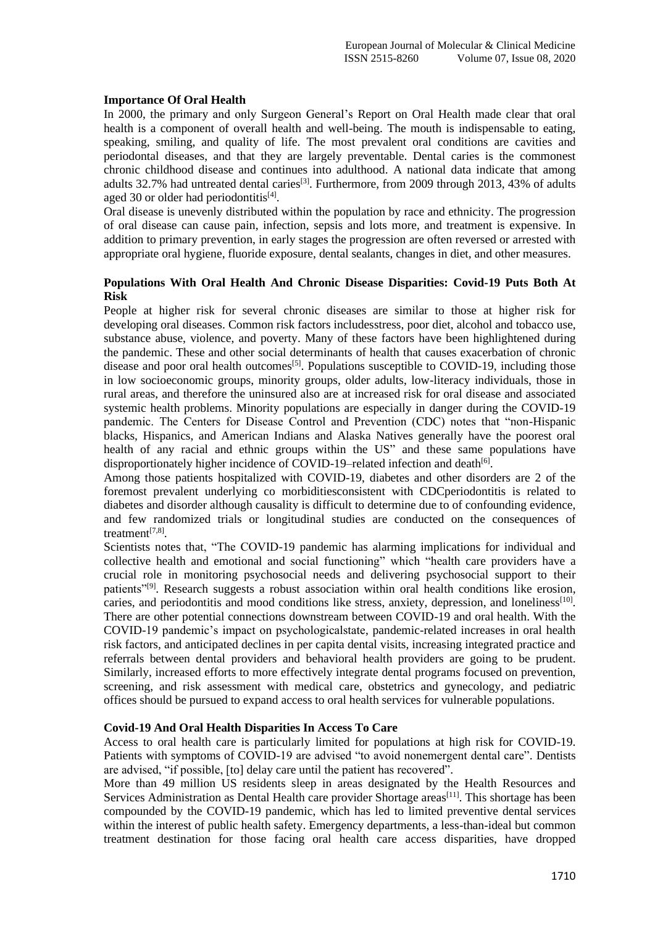#### **Importance Of Oral Health**

In 2000, the primary and only Surgeon General's Report on Oral Health made clear that oral health is a component of overall health and well-being. The mouth is indispensable to eating, speaking, smiling, and quality of life. The most prevalent oral conditions are cavities and periodontal diseases, and that they are largely preventable. Dental caries is the commonest chronic childhood disease and continues into adulthood. A national data indicate that among adults 32.7% had untreated dental caries<sup>[3]</sup>. Furthermore, from 2009 through 2013, 43% of adults aged 30 or older had periodontitis<sup>[4]</sup>.

Oral disease is unevenly distributed within the population by race and ethnicity. The progression of oral disease can cause pain, infection, sepsis and lots more, and treatment is expensive. In addition to primary prevention, in early stages the progression are often reversed or arrested with appropriate oral hygiene, fluoride exposure, dental sealants, changes in diet, and other measures.

#### **Populations With Oral Health And Chronic Disease Disparities: Covid-19 Puts Both At Risk**

People at higher risk for several chronic diseases are similar to those at higher risk for developing oral diseases. Common risk factors includesstress, poor diet, alcohol and tobacco use, substance abuse, violence, and poverty. Many of these factors have been highlightened during the pandemic. These and other social determinants of health that causes exacerbation of chronic disease and poor oral health outcomes<sup>[5]</sup>. Populations susceptible to COVID-19, including those in low socioeconomic groups, minority groups, older adults, low-literacy individuals, those in rural areas, and therefore the uninsured also are at increased risk for oral disease and associated systemic health problems. Minority populations are especially in danger during the COVID-19 pandemic. The Centers for Disease Control and Prevention (CDC) notes that "non-Hispanic blacks, Hispanics, and American Indians and Alaska Natives generally have the poorest oral health of any racial and ethnic groups within the US" and these same populations have disproportionately higher incidence of COVID-19-related infection and death<sup>[6]</sup>.

Among those patients hospitalized with COVID-19, diabetes and other disorders are 2 of the foremost prevalent underlying co morbiditiesconsistent with CDCperiodontitis is related to diabetes and disorder although causality is difficult to determine due to of confounding evidence, and few randomized trials or longitudinal studies are conducted on the consequences of treatment<sup>[7,8]</sup>.

Scientists notes that, "The COVID-19 pandemic has alarming implications for individual and collective health and emotional and social functioning" which "health care providers have a crucial role in monitoring psychosocial needs and delivering psychosocial support to their patients"<sup>[9]</sup>. Research suggests a robust association within oral health conditions like erosion, caries, and periodontitis and mood conditions like stress, anxiety, depression, and loneliness<sup>[10]</sup>. There are other potential connections downstream between COVID-19 and oral health. With the COVID-19 pandemic's impact on psychologicalstate, pandemic-related increases in oral health risk factors, and anticipated declines in per capita dental visits, increasing integrated practice and referrals between dental providers and behavioral health providers are going to be prudent. Similarly, increased efforts to more effectively integrate dental programs focused on prevention, screening, and risk assessment with medical care, obstetrics and gynecology, and pediatric offices should be pursued to expand access to oral health services for vulnerable populations.

#### **Covid-19 And Oral Health Disparities In Access To Care**

Access to oral health care is particularly limited for populations at high risk for COVID-19. Patients with symptoms of COVID-19 are advised "to avoid nonemergent dental care". Dentists are advised, "if possible, [to] delay care until the patient has recovered".

More than 49 million US residents sleep in areas designated by the Health Resources and Services Administration as Dental Health care provider Shortage areas<sup>[11]</sup>. This shortage has been compounded by the COVID-19 pandemic, which has led to limited preventive dental services within the interest of public health safety. Emergency departments, a less-than-ideal but common treatment destination for those facing oral health care access disparities, have dropped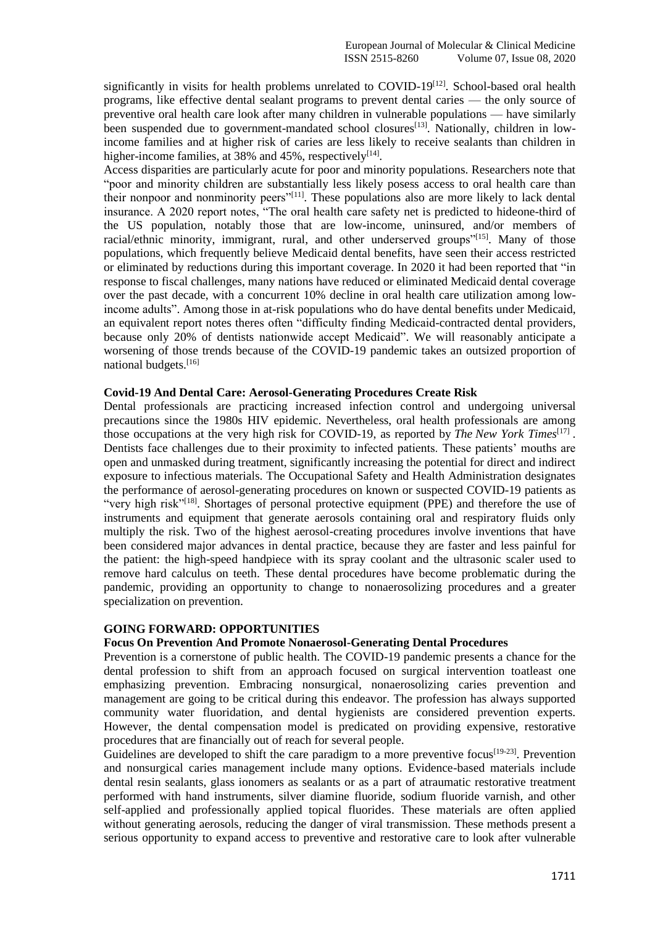significantly in visits for health problems unrelated to COVID-19<sup>[12]</sup>. School-based oral health programs, like effective dental sealant programs to prevent dental caries — the only source of preventive oral health care look after many children in vulnerable populations — have similarly been suspended due to government-mandated school closures<sup>[13]</sup>. Nationally, children in lowincome families and at higher risk of caries are less likely to receive sealants than children in higher-income families, at 38% and 45%, respectively<sup>[14]</sup>.

Access disparities are particularly acute for poor and minority populations. Researchers note that "poor and minority children are substantially less likely posess access to oral health care than their nonpoor and nonminority peers"[11]. These populations also are more likely to lack dental insurance. A 2020 report notes, "The oral health care safety net is predicted to hideone-third of the US population, notably those that are low-income, uninsured, and/or members of racial/ethnic minority, immigrant, rural, and other underserved groups"<sup>[15]</sup>. Many of those populations, which frequently believe Medicaid dental benefits, have seen their access restricted or eliminated by reductions during this important coverage. In 2020 it had been reported that "in response to fiscal challenges, many nations have reduced or eliminated Medicaid dental coverage over the past decade, with a concurrent 10% decline in oral health care utilization among lowincome adults". Among those in at-risk populations who do have dental benefits under Medicaid, an equivalent report notes theres often "difficulty finding Medicaid-contracted dental providers, because only 20% of dentists nationwide accept Medicaid". We will reasonably anticipate a worsening of those trends because of the COVID-19 pandemic takes an outsized proportion of national budgets.[16]

#### **Covid-19 And Dental Care: Aerosol-Generating Procedures Create Risk**

Dental professionals are practicing increased infection control and undergoing universal precautions since the 1980s HIV epidemic. Nevertheless, oral health professionals are among those occupations at the very high risk for COVID-19, as reported by *The New York Times*[17] . Dentists face challenges due to their proximity to infected patients. These patients' mouths are open and unmasked during treatment, significantly increasing the potential for direct and indirect exposure to infectious materials. The Occupational Safety and Health Administration designates the performance of aerosol-generating procedures on known or suspected COVID-19 patients as "very high risk"<sup>[18]</sup>. Shortages of personal protective equipment (PPE) and therefore the use of instruments and equipment that generate aerosols containing oral and respiratory fluids only multiply the risk. Two of the highest aerosol-creating procedures involve inventions that have been considered major advances in dental practice, because they are faster and less painful for the patient: the high-speed handpiece with its spray coolant and the ultrasonic scaler used to remove hard calculus on teeth. These dental procedures have become problematic during the pandemic, providing an opportunity to change to nonaerosolizing procedures and a greater specialization on prevention.

#### **GOING FORWARD: OPPORTUNITIES**

## **Focus On Prevention And Promote Nonaerosol-Generating Dental Procedures**

Prevention is a cornerstone of public health. The COVID-19 pandemic presents a chance for the dental profession to shift from an approach focused on surgical intervention toatleast one emphasizing prevention. Embracing nonsurgical, nonaerosolizing caries prevention and management are going to be critical during this endeavor. The profession has always supported community water fluoridation, and dental hygienists are considered prevention experts. However, the dental compensation model is predicated on providing expensive, restorative procedures that are financially out of reach for several people.

Guidelines are developed to shift the care paradigm to a more preventive focus<sup>[19-23]</sup>. Prevention and nonsurgical caries management include many options. Evidence-based materials include dental resin sealants, glass ionomers as sealants or as a part of atraumatic restorative treatment performed with hand instruments, silver diamine fluoride, sodium fluoride varnish, and other self-applied and professionally applied topical fluorides. These materials are often applied without generating aerosols, reducing the danger of viral transmission. These methods present a serious opportunity to expand access to preventive and restorative care to look after vulnerable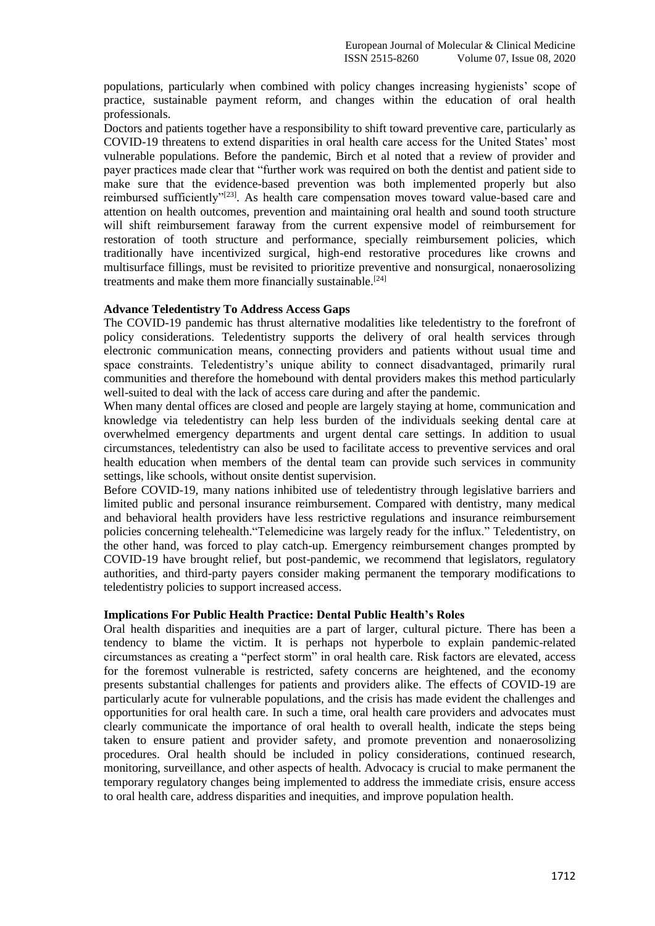populations, particularly when combined with policy changes increasing hygienists' scope of practice, sustainable payment reform, and changes within the education of oral health professionals.

Doctors and patients together have a responsibility to shift toward preventive care, particularly as COVID-19 threatens to extend disparities in oral health care access for the United States' most vulnerable populations. Before the pandemic, Birch et al noted that a review of provider and payer practices made clear that "further work was required on both the dentist and patient side to make sure that the evidence-based prevention was both implemented properly but also reimbursed sufficiently"<sup>[23]</sup>. As health care compensation moves toward value-based care and attention on health outcomes, prevention and maintaining oral health and sound tooth structure will shift reimbursement faraway from the current expensive model of reimbursement for restoration of tooth structure and performance, specially reimbursement policies, which traditionally have incentivized surgical, high-end restorative procedures like crowns and multisurface fillings, must be revisited to prioritize preventive and nonsurgical, nonaerosolizing treatments and make them more financially sustainable.<sup>[24]</sup>

#### **Advance Teledentistry To Address Access Gaps**

The COVID-19 pandemic has thrust alternative modalities like teledentistry to the forefront of policy considerations. Teledentistry supports the delivery of oral health services through electronic communication means, connecting providers and patients without usual time and space constraints. Teledentistry's unique ability to connect disadvantaged, primarily rural communities and therefore the homebound with dental providers makes this method particularly well-suited to deal with the lack of access care during and after the pandemic.

When many dental offices are closed and people are largely staying at home, communication and knowledge via teledentistry can help less burden of the individuals seeking dental care at overwhelmed emergency departments and urgent dental care settings. In addition to usual circumstances, teledentistry can also be used to facilitate access to preventive services and oral health education when members of the dental team can provide such services in community settings, like schools, without onsite dentist supervision.

Before COVID-19, many nations inhibited use of teledentistry through legislative barriers and limited public and personal insurance reimbursement. Compared with dentistry, many medical and behavioral health providers have less restrictive regulations and insurance reimbursement policies concerning telehealth."Telemedicine was largely ready for the influx." Teledentistry, on the other hand, was forced to play catch-up. Emergency reimbursement changes prompted by COVID-19 have brought relief, but post-pandemic, we recommend that legislators, regulatory authorities, and third-party payers consider making permanent the temporary modifications to teledentistry policies to support increased access.

#### **Implications For Public Health Practice: Dental Public Health's Roles**

Oral health disparities and inequities are a part of larger, cultural picture. There has been a tendency to blame the victim. It is perhaps not hyperbole to explain pandemic-related circumstances as creating a "perfect storm" in oral health care. Risk factors are elevated, access for the foremost vulnerable is restricted, safety concerns are heightened, and the economy presents substantial challenges for patients and providers alike. The effects of COVID-19 are particularly acute for vulnerable populations, and the crisis has made evident the challenges and opportunities for oral health care. In such a time, oral health care providers and advocates must clearly communicate the importance of oral health to overall health, indicate the steps being taken to ensure patient and provider safety, and promote prevention and nonaerosolizing procedures. Oral health should be included in policy considerations, continued research, monitoring, surveillance, and other aspects of health. Advocacy is crucial to make permanent the temporary regulatory changes being implemented to address the immediate crisis, ensure access to oral health care, address disparities and inequities, and improve population health.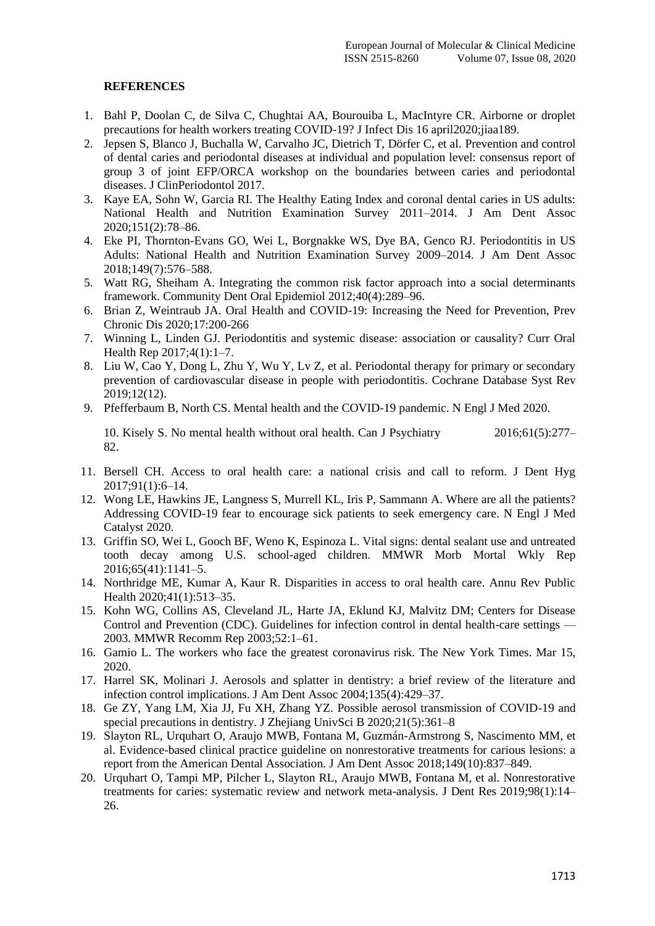### **REFERENCES**

- 1. Bahl P, Doolan C, de Silva C, Chughtai AA, Bourouiba L, MacIntyre CR. Airborne or droplet precautions for health workers treating COVID-19? J Infect Dis 16 april2020;jiaa189.
- 2. Jepsen S, Blanco J, Buchalla W, Carvalho JC, Dietrich T, Dörfer C, et al. Prevention and control of dental caries and periodontal diseases at individual and population level: consensus report of group 3 of joint EFP/ORCA workshop on the boundaries between caries and periodontal diseases. J ClinPeriodontol 2017.
- 3. Kaye EA, Sohn W, Garcia RI. The Healthy Eating Index and coronal dental caries in US adults: National Health and Nutrition Examination Survey 2011–2014. J Am Dent Assoc 2020;151(2):78–86.
- 4. Eke PI, Thornton-Evans GO, Wei L, Borgnakke WS, Dye BA, Genco RJ. Periodontitis in US Adults: National Health and Nutrition Examination Survey 2009–2014. J Am Dent Assoc 2018;149(7):576–588.
- 5. Watt RG, Sheiham A. Integrating the common risk factor approach into a social determinants framework. Community Dent Oral Epidemiol 2012;40(4):289–96.
- 6. Brian Z, Weintraub JA. Oral Health and COVID-19: Increasing the Need for Prevention, Prev Chronic Dis 2020;17:200-266
- 7. Winning L, Linden GJ. Periodontitis and systemic disease: association or causality? Curr Oral Health Rep 2017;4(1):1–7.
- 8. Liu W, Cao Y, Dong L, Zhu Y, Wu Y, Lv Z, et al. Periodontal therapy for primary or secondary prevention of cardiovascular disease in people with periodontitis. Cochrane Database Syst Rev 2019;12(12).
- 9. Pfefferbaum B, North CS. Mental health and the COVID-19 pandemic. N Engl J Med 2020.

10. Kisely S. No mental health without oral health. Can J Psychiatry 2016;61(5):277– 82.

- 11. Bersell CH. Access to oral health care: a national crisis and call to reform. J Dent Hyg 2017;91(1):6–14.
- 12. Wong LE, Hawkins JE, Langness S, Murrell KL, Iris P, Sammann A. Where are all the patients? Addressing COVID-19 fear to encourage sick patients to seek emergency care. N Engl J Med Catalyst 2020.
- 13. Griffin SO, Wei L, Gooch BF, Weno K, Espinoza L. Vital signs: dental sealant use and untreated tooth decay among U.S. school-aged children. MMWR Morb Mortal Wkly Rep 2016;65(41):1141–5.
- 14. Northridge ME, Kumar A, Kaur R. Disparities in access to oral health care. Annu Rev Public Health 2020;41(1):513-35.
- 15. Kohn WG, Collins AS, Cleveland JL, Harte JA, Eklund KJ, Malvitz DM; Centers for Disease Control and Prevention (CDC). Guidelines for infection control in dental health-care settings — 2003. MMWR Recomm Rep 2003;52:1–61.
- 16. Gamio L. The workers who face the greatest coronavirus risk. The New York Times. Mar 15, 2020.
- 17. Harrel SK, Molinari J. Aerosols and splatter in dentistry: a brief review of the literature and infection control implications. J Am Dent Assoc 2004;135(4):429–37.
- 18. Ge ZY, Yang LM, Xia JJ, Fu XH, Zhang YZ. Possible aerosol transmission of COVID-19 and special precautions in dentistry. J Zhejiang UnivSci B 2020;21(5):361–8
- 19. Slayton RL, Urquhart O, Araujo MWB, Fontana M, Guzmán-Armstrong S, Nascimento MM, et al. Evidence-based clinical practice guideline on nonrestorative treatments for carious lesions: a report from the American Dental Association. J Am Dent Assoc 2018;149(10):837–849.
- 20. Urquhart O, Tampi MP, Pilcher L, Slayton RL, Araujo MWB, Fontana M, et al. Nonrestorative treatments for caries: systematic review and network meta-analysis. J Dent Res 2019;98(1):14– 26.